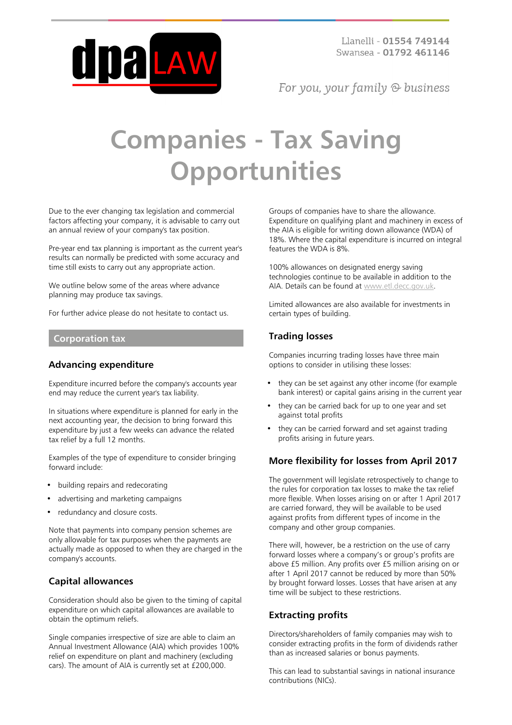

For you, your family  $\odot$  business

# **Companies - Tax Saving Opportunities**

Due to the ever changing tax legislation and commercial factors affecting your company, it is advisable to carry out an annual review of your company's tax position.

Pre-year end tax planning is important as the current year's results can normally be predicted with some accuracy and time still exists to carry out any appropriate action.

We outline below some of the areas where advance planning may produce tax savings.

For further advice please do not hesitate to contact us.

#### **Corporation tax**

#### **Advancing expenditure**

Expenditure incurred before the company's accounts year end may reduce the current year's tax liability.

In situations where expenditure is planned for early in the next accounting year, the decision to bring forward this expenditure by just a few weeks can advance the related tax relief by a full 12 months.

Examples of the type of expenditure to consider bringing forward include:

- building repairs and redecorating
- advertising and marketing campaigns
- redundancy and closure costs.

Note that payments into company pension schemes are only allowable for tax purposes when the payments are actually made as opposed to when they are charged in the company's accounts.

#### **Capital allowances**

Consideration should also be given to the timing of capital expenditure on which capital allowances are available to obtain the optimum reliefs.

Single companies irrespective of size are able to claim an Annual Investment Allowance (AIA) which provides 100% relief on expenditure on plant and machinery (excluding cars). The amount of AIA is currently set at £200,000.

Groups of companies have to share the allowance. Expenditure on qualifying plant and machinery in excess of the AIA is eligible for writing down allowance (WDA) of 18%. Where the capital expenditure is incurred on integral features the WDA is 8%.

100% allowances on designated energy saving technologies continue to be available in addition to the AIA. Details can be found at [www.etl.decc.gov.uk.](http://www.etl.decc.gov.uk/)

Limited allowances are also available for investments in certain types of building.

### **Trading losses**

Companies incurring trading losses have three main options to consider in utilising these losses:

- they can be set against any other income (for example bank interest) or capital gains arising in the current year
- they can be carried back for up to one year and set against total profits
- they can be carried forward and set against trading profits arising in future years.

### **More flexibility for losses from April 2017**

The government will legislate retrospectively to change to the rules for corporation tax losses to make the tax relief more flexible. When losses arising on or after 1 April 2017 are carried forward, they will be available to be used against profits from different types of income in the company and other group companies.

There will, however, be a restriction on the use of carry forward losses where a company's or group's profits are above £5 million. Any profits over £5 million arising on or after 1 April 2017 cannot be reduced by more than 50% by brought forward losses. Losses that have arisen at any time will be subject to these restrictions.

#### **Extracting profits**

Directors/shareholders of family companies may wish to consider extracting profits in the form of dividends rather than as increased salaries or bonus payments.

This can lead to substantial savings in national insurance contributions (NICs).